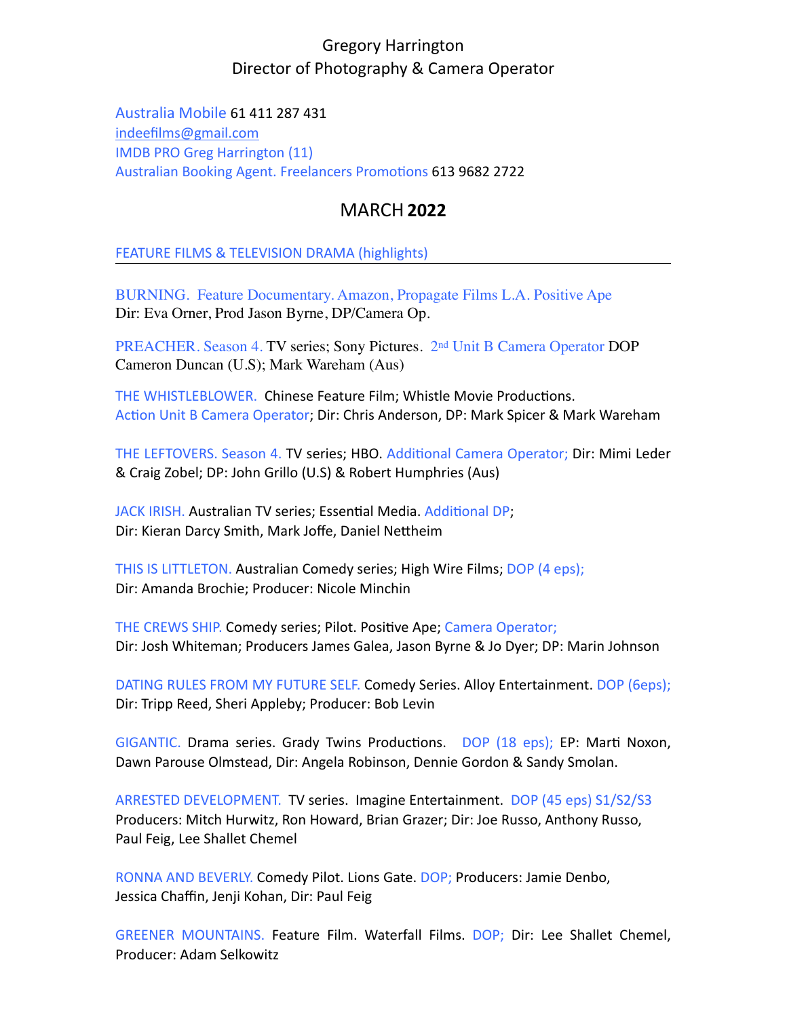## Gregory Harrington Director of Photography & Camera Operator

Australia Mobile 61 411 287 431 [indeefilms@gmail.com](mailto:indeefilms@gmail.com) IMDB PRO Greg Harrington (11) Australian Booking Agent. Freelancers Promotions 613 9682 2722

## MARCH**2022**

FEATURE FILMS & TELEVISION DRAMA (highlights)

BURNING. Feature Documentary. Amazon, Propagate Films L.A. Positive Ape Dir: Eva Orner, Prod Jason Byrne, DP/Camera Op.

PREACHER. Season 4. TV series; Sony Pictures. 2nd Unit B Camera Operator DOP Cameron Duncan (U.S); Mark Wareham (Aus)

THE WHISTLEBLOWER. Chinese Feature Film; Whistle Movie Productions. Action Unit B Camera Operator; Dir: Chris Anderson, DP: Mark Spicer & Mark Wareham

THE LEFTOVERS. Season 4. TV series; HBO. Additional Camera Operator; Dir: Mimi Leder & Craig Zobel; DP: John Grillo (U.S) & Robert Humphries (Aus)

JACK IRISH. Australian TV series; Essential Media. Additional DP; Dir: Kieran Darcy Smith, Mark Joffe, Daniel Nettheim

THIS IS LITTLETON. Australian Comedy series; High Wire Films; DOP (4 eps); Dir: Amanda Brochie; Producer: Nicole Minchin

THE CREWS SHIP. Comedy series; Pilot. Positive Ape; Camera Operator; Dir: Josh Whiteman; Producers James Galea, Jason Byrne & Jo Dyer; DP: Marin Johnson

DATING RULES FROM MY FUTURE SELF. Comedy Series. Alloy Entertainment. DOP (6eps); Dir: Tripp Reed, Sheri Appleby; Producer: Bob Levin

GIGANTIC. Drama series. Grady Twins Productions. DOP (18 eps); EP: Marti Noxon, Dawn Parouse Olmstead, Dir: Angela Robinson, Dennie Gordon & Sandy Smolan.

ARRESTED DEVELOPMENT. TV series. Imagine Entertainment. DOP (45 eps) S1/S2/S3 Producers: Mitch Hurwitz, Ron Howard, Brian Grazer; Dir: Joe Russo, Anthony Russo, Paul Feig, Lee Shallet Chemel

RONNA AND BEVERLY. Comedy Pilot. Lions Gate. DOP; Producers: Jamie Denbo, Jessica Chaffin, Jenji Kohan, Dir: Paul Feig

GREENER MOUNTAINS. Feature Film. Waterfall Films. DOP; Dir: Lee Shallet Chemel, Producer: Adam Selkowitz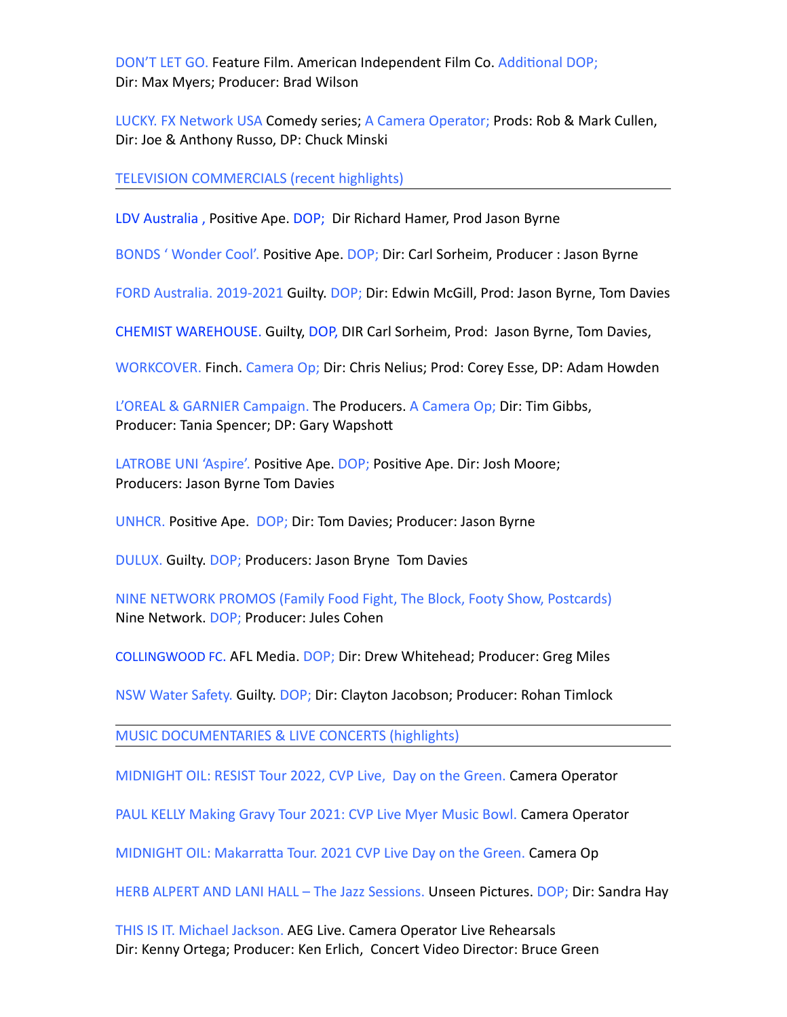DON'T LET GO. Feature Film. American Independent Film Co. Additional DOP; Dir: Max Myers; Producer: Brad Wilson

LUCKY. FX Network USA Comedy series; A Camera Operator; Prods: Rob & Mark Cullen, Dir: Joe & Anthony Russo, DP: Chuck Minski

TELEVISION COMMERCIALS (recent highlights)

LDV Australia , Positive Ape. DOP; Dir Richard Hamer, Prod Jason Byrne

BONDS ' Wonder Cool'. Positive Ape. DOP; Dir: Carl Sorheim, Producer : Jason Byrne

FORD Australia. 2019-2021 Guilty. DOP; Dir: Edwin McGill, Prod: Jason Byrne, Tom Davies

CHEMIST WAREHOUSE. Guilty, DOP, DIR Carl Sorheim, Prod: Jason Byrne, Tom Davies,

WORKCOVER. Finch. Camera Op; Dir: Chris Nelius; Prod: Corey Esse, DP: Adam Howden

L'OREAL & GARNIER Campaign. The Producers. A Camera Op; Dir: Tim Gibbs, Producer: Tania Spencer; DP: Gary Wapshott

LATROBE UNI 'Aspire'. Positive Ape. DOP; Positive Ape. Dir: Josh Moore; Producers: Jason Byrne Tom Davies

UNHCR. Positive Ape. DOP; Dir: Tom Davies; Producer: Jason Byrne

DULUX. Guilty. DOP; Producers: Jason Bryne Tom Davies

NINE NETWORK PROMOS (Family Food Fight, The Block, Footy Show, Postcards) Nine Network. DOP; Producer: Jules Cohen

COLLINGWOOD FC. AFL Media. DOP; Dir: Drew Whitehead; Producer: Greg Miles

NSW Water Safety. Guilty. DOP; Dir: Clayton Jacobson; Producer: Rohan Timlock

MUSIC DOCUMENTARIES & LIVE CONCERTS (highlights)

MIDNIGHT OIL: RESIST Tour 2022, CVP Live, Day on the Green. Camera Operator

PAUL KELLY Making Gravy Tour 2021: CVP Live Myer Music Bowl. Camera Operator

MIDNIGHT OIL: Makarratta Tour. 2021 CVP Live Day on the Green. Camera Op

HERB ALPERT AND LANI HALL – The Jazz Sessions. Unseen Pictures. DOP; Dir: Sandra Hay

THIS IS IT. Michael Jackson. AEG Live. Camera Operator Live Rehearsals Dir: Kenny Ortega; Producer: Ken Erlich, Concert Video Director: Bruce Green